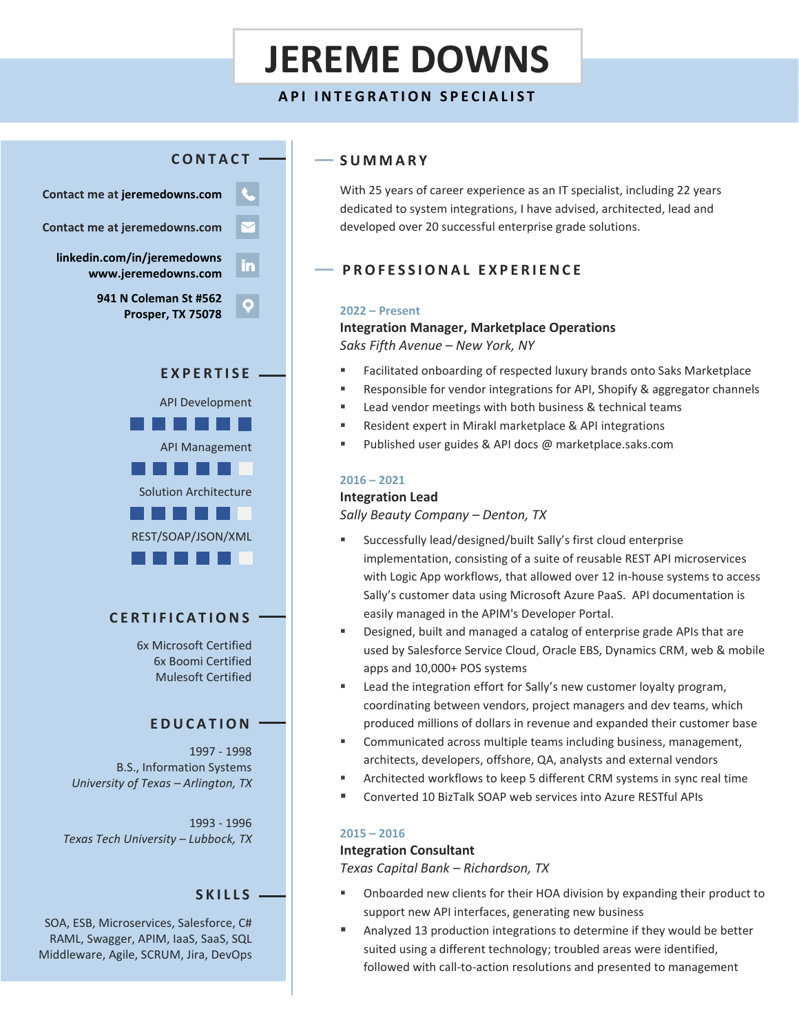# **JEREME DOWNS**

## **API INTEGRATION SPECIALIST**



# **C E R T I F I C A T I O N S**

6x Microsoft Certified 6x Boomi Certified Mulesoft Certified

## **E D U C A T I O N**

1997 - 1998 B.S., Information Systems *University of Texas – Arlington, TX*

1993 - 1996 *Texas Tech University – Lubbock, TX*

#### **S K I L L S**

SOA, ESB, Microservices, Salesforce, C# RAML, Swagger, APIM, IaaS, SaaS, SQL Middleware, Agile, SCRUM, Jira, DevOps

## **S U M M A R Y**

With 25 years of career experience as an IT specialist, including 22 years dedicated to system integrations, I have advised, architected, lead and developed over 20 successful enterprise grade solutions.

## **P R O F E S S I O N A L E X P E R I E N C E**

#### **2022 – Present**

## **Integration Manager, Marketplace Operations** *Saks Fifth Avenue – New York, NY*

- Facilitated onboarding of respected luxury brands onto Saks Marketplace
- Responsible for vendor integrations for API, Shopify & aggregator channels
- Lead vendor meetings with both business & technical teams
- Resident expert in Mirakl marketplace & API integrations
- Published user guides & API docs @ marketplace.saks.com

#### **2016 – 2021**

#### **Integration Lead**

*Sally Beauty Company – Denton, TX*

- Successfully lead/designed/built Sally's first cloud enterprise implementation, consisting of a suite of reusable REST API microservices with Logic App workflows, that allowed over 12 in-house systems to access Sally's customer data using Microsoft Azure PaaS. API documentation is easily managed in the APIM's Developer Portal.
- Designed, built and managed a catalog of enterprise grade APIs that are used by Salesforce Service Cloud, Oracle EBS, Dynamics CRM, web & mobile apps and 10,000+ POS systems
- Lead the integration effort for Sally's new customer loyalty program, coordinating between vendors, project managers and dev teams, which produced millions of dollars in revenue and expanded their customer base
- Communicated across multiple teams including business, management, architects, developers, offshore, QA, analysts and external vendors
- Architected workflows to keep 5 different CRM systems in sync real time
- Converted 10 BizTalk SOAP web services into Azure RESTful APIs

#### **2015 – 2016**

#### **Integration Consultant**

*Texas Capital Bank – Richardson, TX*

- Onboarded new clients for their HOA division by expanding their product to support new API interfaces, generating new business
- Analyzed 13 production integrations to determine if they would be better suited using a different technology; troubled areas were identified, followed with call-to-action resolutions and presented to management